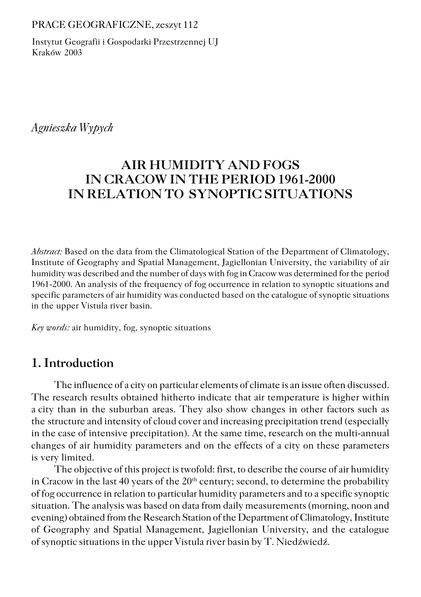#### PRACE GEOGRAFICZNE, zeszyt 112

Instytut Geografii i Gospodarki Przestrzennej UJ Kraków 2003

# *Agnieszka Wypych*

# **AIR HUMIDITY AND FOGS IN CRACOW IN THE PERIOD 1961−2000 IN RELATION TO SYNOPTIC SITUATIONS**

*Abstract:* Based on the data from the Climatological Station of the Department of Climatology, Institute of Geography and Spatial Management, Jagiellonian University, the variability of air humidity was described and the number of days with fog in Cracow was determined for the period 1961−2000. An analysis of the frequency of fog occurrence in relation to synoptic situations and specific parameters of air humidity was conducted based on the catalogue of synoptic situations in the upper Vistula river basin*.*

*Key words:* air humidity, fog, synoptic situations

# **1. Introduction**

The influence of a city on particular elements of climate is an issue often discussed. The research results obtained hitherto indicate that air temperature is higher within acity than in the suburban areas. They also show changes in other factors such as the structure and intensity of cloud cover and increasing precipitation trend (especially in the case of intensive precipitation). At the same time, research on the multi−annual changes of air humidity parameters and on the effects of a city on these parameters is very limited.

The objective of this project is twofold: first, to describe the course of air humidity in Cracow in the last 40 years of the  $20<sup>th</sup>$  century; second, to determine the probability of fog occurrence in relation to particular humidity parameters and to a specific synoptic situation. The analysis was based on data from daily measurements (morning, noon and evening) obtained from the Research Station of the Department of Climatology, Institute of Geography and Spatial Management, Jagiellonian University, and the catalogue of synoptic situations in the upper Vistula river basin by T. Niedźwiedź.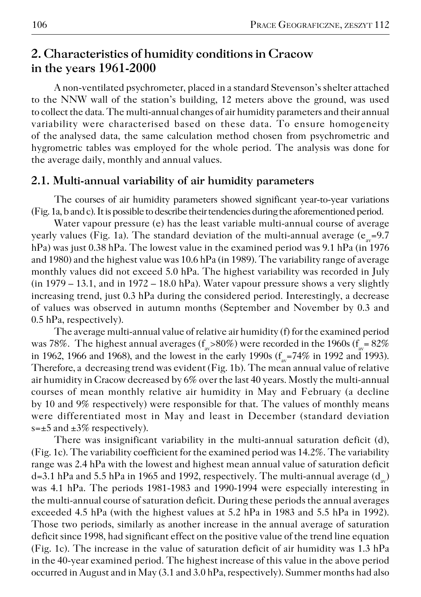# **2. Characteristics of humidity conditions in Cracow in the years 1961−2000**

A non−ventilated psychrometer, placed in a standard Stevenson's shelter attached to the NNW wall of the station's building, 12 meters above the ground, was used to collect the data. The multi−annual changes of air humidity parameters and their annual variability were characterised based on these data. To ensure homogeneity of the analysed data, the same calculation method chosen from psychrometric and hygrometric tables was employed for the whole period. The analysis was done for the average daily, monthly and annual values.

#### **2.1. Multi−annual variability of air humidity parameters**

The courses of air humidity parameters showed significant year−to−year variations (Fig. 1a, b and c). It is possible to describe their tendencies during the aforementioned period.

Water vapour pressure (e) has the least variable multi−annual course of average yearly values (Fig. 1a). The standard deviation of the multi-annual average ( ${\rm e}_{_{\rm av}}$ =9.7 hPa) was just 0.38 hPa. The lowest value in the examined period was 9.1 hPa (in 1976 and 1980) and the highest value was 10.6 hPa (in 1989). The variability range of average monthly values did not exceed 5.0 hPa. The highest variability was recorded in July (in 1979 – 13.1, and in 1972 – 18.0 hPa). Water vapour pressure shows a very slightly increasing trend, just 0.3 hPa during the considered period. Interestingly, a decrease of values was observed in autumn months (September and November by 0.3 and 0.5 hPa, respectively).

The average multi−annual value of relative air humidity (f) for the examined period was 78%. The highest annual averages (f<sub>av</sub>>80%) were recorded in the 1960s (f<sub>av</sub>= 82% in 1962, 1966 and 1968), and the lowest in the early 1990s ( $f_{\text{av}}$ =74% in 1992 and 1993). Therefore, a decreasing trend was evident (Fig. 1b). The mean annual value of relative air humidity in Cracow decreased by 6% over the last 40 years. Mostly the multi−annual courses of mean monthly relative air humidity in May and February (a decline by 10 and 9% respectively) were responsible for that. The values of monthly means were differentiated most in May and least in December (standard deviation  $s=\pm 5$  and  $\pm 3\%$  respectively).

There was insignificant variability in the multi−annual saturation deficit (d), (Fig. 1c). The variability coefficient for the examined period was 14.2%. The variability range was 2.4 hPa with the lowest and highest mean annual value of saturation deficit d=3.1 hPa and 5.5 hPa in 1965 and 1992, respectively. The multi-annual average ( $\rm{d_{av}}$ ) was 4.1 hPa. The periods 1981−1983 and 1990−1994 were especially interesting in the multi−annual course of saturation deficit. During these periods the annual averages exceeded 4.5 hPa (with the highest values at 5.2 hPa in 1983 and 5.5 hPa in 1992). Those two periods, similarly as another increase in the annual average of saturation deficit since 1998, had significant effect on the positive value of the trend line equation (Fig. 1c). The increase in the value of saturation deficit of air humidity was 1.3 hPa in the 40−year examined period. The highest increase of this value in the above period occurred in August and in May (3.1 and 3.0 hPa, respectively). Summer months had also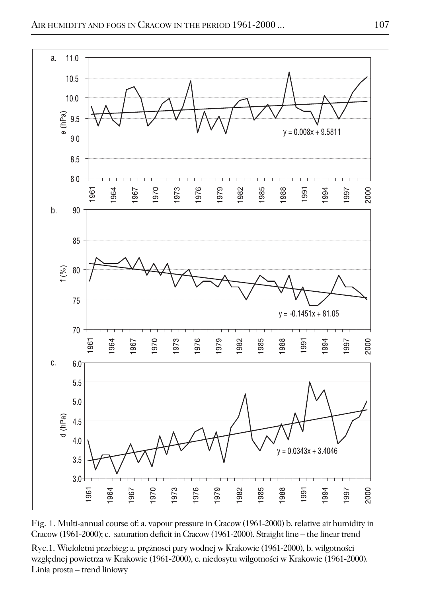

Fig. 1. Multi−annual course of: a. vapour pressure in Cracow (1961−2000) b. relative air humidity in Cracow (1961−2000); c. saturation deficit in Cracow (1961−2000). Straight line – the linear trend

Ryc.1. Wieloletni przebieg: a. prężnosci pary wodnej w Krakowie (1961−2000), b. wilgotności względnej powietrza w Krakowie (1961−2000), c. niedosytu wilgotności w Krakowie (1961−2000). Linia prosta – trend liniowy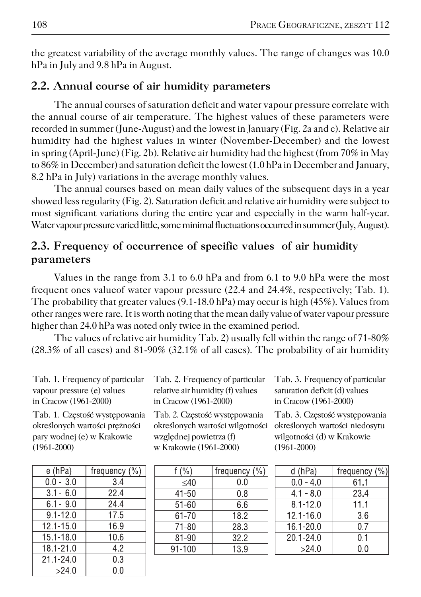the greatest variability of the average monthly values. The range of changes was 10.0 hPa in July and 9.8 hPa in August.

### **2.2. Annual course of air humidity parameters**

The annual courses of saturation deficit and water vapour pressure correlate with the annual course of air temperature. The highest values of these parameters were recorded in summer (June−August) and the lowest in January (Fig. 2a and c). Relative air humidity had the highest values in winter (November−December) and the lowest in spring (April−June) (Fig. 2b). Relative air humidity had the highest (from 70% in May to 86% in December) and saturation deficit the lowest (1.0 hPa in December and January, 8.2 hPa in July) variations in the average monthly values.

The annual courses based on mean daily values of the subsequent days in a year showed less regularity (Fig. 2). Saturation deficit and relative air humidity were subject to most significant variations during the entire year and especially in the warm half−year. Water vapour pressure varied little, some minimal fluctuations occurred in summer (July, August).

### **2.3. Frequency of occurrence of specific values of air humidity parameters**

Values in the range from 3.1 to 6.0 hPa and from 6.1 to 9.0 hPa were the most frequent ones valueof water vapour pressure (22.4 and 24.4%, respectively; Tab. 1). The probability that greater values (9.1-18.0 hPa) may occur is high (45%). Values from other ranges were rare. It is worth noting that the mean daily value of water vapour pressure higher than 24.0 hPa was noted only twice in the examined period.

The values of relative air humidity Tab. 2) usually fell within the range of 71−80% (28.3% of all cases) and 81−90% (32.1% of all cases). The probability of air humidity

| Tab. 1. Frequency of particular |
|---------------------------------|
| vapour pressure (e) values      |
| in Cracow (1961-2000)           |

Tab. 1. Częstość występowania określonych wartości prężności pary wodnej (e) w Krakowie (1961−2000)

| e (hPa)       | frequency $(\% )$ |
|---------------|-------------------|
| $0.0 - 3.0$   | 3.4               |
| $3.1 - 6.0$   | 22.4              |
| $6.1 - 9.0$   | 24.4              |
| $91 - 120$    | 17.5              |
| 12.1-15.0     | 16.9              |
| $15.1 - 18.0$ | 10.6              |
| 18.1-21.0     | 4.2               |
| 21 1 24 0     | 0.3               |
| >24.0         | 0.0               |

Tab. 2. Frequency of particular relative air humidity (f) values in Cracow (1961−2000)

> Tab. 2. Częstość występowania określonych wartości wilgotności względnej powietrza (f) w Krakowie (1961−2000)

| f $(\% )$  | frequency $(\% )$ |
|------------|-------------------|
| $<$ 40     | 0.0               |
| 41-50      | 0.8               |
| 51-60      | 6.6               |
| 61-70      | 18.2              |
| 71-80      | 28.3              |
| 81-90      | 32.2              |
| $91 - 100$ | 13.9              |
|            |                   |

Tab. 3. Frequency of particular saturation deficit (d) values in Cracow (1961−2000)

Tab. 3. Częstość występowania określonych wartości niedosytu wilgotności (d) w Krakowie (1961−2000)

| d (hPa)       | frequency (%) |
|---------------|---------------|
| $0.0 - 4.0$   | 61.1          |
| $4.1 - 8.0$   | 23.4          |
| $8.1 - 12.0$  | 11.1          |
| $12.1 - 16.0$ | 3.6           |
| 16.1-20.0     | 0.7           |
| 201-24.0      | 0.1           |
| >24.0         | 0.0           |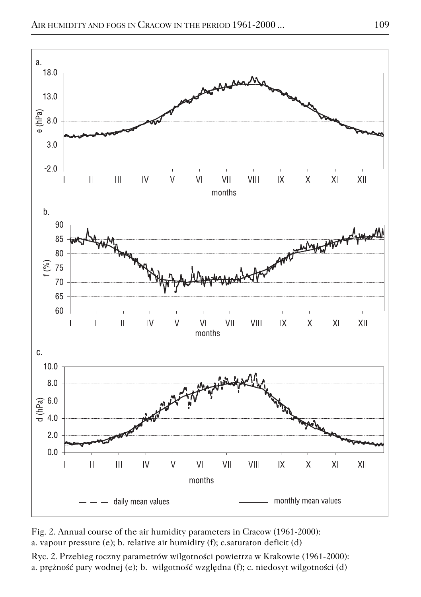



Ryc. 2. Przebieg roczny parametrów wilgotności powietrza w Krakowie (1961−2000): a. prężność pary wodnej (e); b. wilgotność względna (f); c. niedosyt wilgotności (d)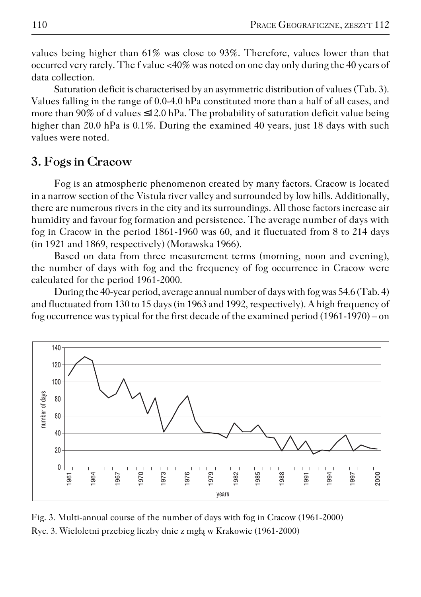values being higher than 61% was close to 93%. Therefore, values lower than that occurred very rarely. The f value <40% was noted on one day only during the 40 years of data collection.

Saturation deficit is characterised by an asymmetric distribution of values (Tab. 3). Values falling in the range of 0.0−4.0 hPa constituted more than a half of all cases, and more than 90% of d values  $\leq 12.0$  hPa. The probability of saturation deficit value being higher than 20.0 hPa is 0.1%. During the examined 40 years, just 18 days with such values were noted.

### **3. Fogs in Cracow**

Fog is an atmospheric phenomenon created by many factors. Cracow is located in a narrow section of the Vistula river valley and surrounded by low hills. Additionally, there are numerous rivers in the city and its surroundings. All those factors increase air humidity and favour fog formation and persistence. The average number of days with fog in Cracow in the period 1861−1960 was 60, and it fluctuated from 8 to 214 days (in 1921 and 1869, respectively) (Morawska 1966).

Based on data from three measurement terms (morning, noon and evening), the number of days with fog and the frequency of fog occurrence in Cracow were calculated for the period 1961−2000.

During the 40−year period, average annual number of days with fog was 54.6 (Tab. 4) and fluctuated from 130 to 15 days (in 1963 and 1992, respectively). A high frequency of fog occurrence was typical for the first decade of the examined period (1961−1970) – on



Fig. 3. Multi−annual course of the number of days with fog in Cracow (1961−2000) Ryc. 3. Wieloletni przebieg liczby dnie z mgłą w Krakowie (1961−2000)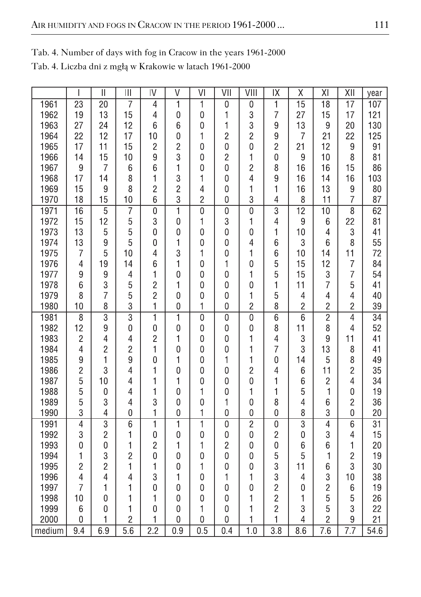|        | I               | $\overline{\mathbb{I}}$ | $\mathbf{  }$  | IV                      | V                | VI             | VII            | VIII             | IX               | χ               | ΧI               | XII              | year            |
|--------|-----------------|-------------------------|----------------|-------------------------|------------------|----------------|----------------|------------------|------------------|-----------------|------------------|------------------|-----------------|
| 1961   | 23              | 20                      | 7              | $\overline{4}$          | $\mathbf{1}$     | 1              | 0              | 0                | $\overline{1}$   | $\overline{15}$ | $\overline{18}$  | 17               | 107             |
| 1962   | 19              | 13                      | 15             | 4                       | 0                | 0              | 1              | 3                | 7                | 27              | 15               | 17               | 121             |
| 1963   | 27              | 24                      | 12             | 6                       | 6                | 0              | 1              | 3                | 9                | 13              | 9                | 20               | 130             |
| 1964   | 22              | 12                      | 17             | 10                      | 0                | 1              | $\overline{2}$ | $\overline{c}$   | 9                | 7               | 21               | 22               | 125             |
| 1965   | 17              | 11                      | 15             | $\overline{c}$          | $\overline{c}$   | 0              | $\mathbf 0$    | 0                | $\overline{2}$   | 21              | 12               | 9                | 91              |
| 1966   | 14              | 15                      | 10             | 9                       | 3                | 0              | $\overline{c}$ | 1                | $\mathbf{0}$     | 9               | 10               | 8                | 81              |
| 1967   | 9               | 7                       | 6              | 6                       | 1                | 0              | 0              | $\overline{c}$   | 8                | 16              | 16               | 15               | 86              |
| 1968   | 17              | 14                      | 8              | 1                       | 3                | 1              | 0              | 4                | 9                | 16              | 14               | 16               | 103             |
| 1969   | 15              | 9                       | 8              | $\overline{c}$          | $\overline{c}$   | 4              | $\mathbf 0$    | 1                | 1                | 16              | 13               | 9                | 80              |
| 1970   | 18              | 15                      | 10             | 6                       | 3                | $\overline{c}$ | 0              | 3                | 4                | 8               | 11               | 7                | 87              |
| 1971   | $\overline{16}$ | $\overline{5}$          | 7              | $\overline{0}$          | $\overline{1}$   | $\overline{0}$ | $\overline{0}$ | 0                | 3                | $\overline{12}$ | $\overline{10}$  | $\overline{8}$   | 62              |
| 1972   | 15              | 12                      | 5              | 3                       | 0                | 1              | 3              | 1                | 4                | 9               | 6                | 22               | 81              |
| 1973   | 13              | 5                       | 5              | $\overline{0}$          | $\mathbf{0}$     | 0              | 0              | 0                | 1                | 10              | $\overline{4}$   | 3                | 41              |
| 1974   | 13              | 9                       | 5              | $\mathbf 0$             | 1                | 0              | $\mathbf 0$    | 4                | 6                | 3               | 6                | 8                | 55              |
| 1975   | 7               | 5                       | 10             | 4                       | 3                | 1              | 0              | 1                | 6                | 10              | 14               | 11               | 72              |
| 1976   | $\overline{4}$  | 19                      | 14             | 6                       | 1                | 0              | 1              | 0                | 5                | 15              | 12               | 7                | 84              |
| 1977   | 9               | 9                       | 4              | 1                       | 0                | 0              | 0              | 1                | 5                | 15              | 3                | $\overline{7}$   | 54              |
| 1978   | 6               | 3                       | 5              | $\overline{c}$          | 1                | 0              | 0              | 0                | 1                | 11              | $\overline{7}$   | 5                | 41              |
| 1979   | 8               | $\overline{7}$          | 5              | $\overline{c}$          | 0                | 0              | 0              | 1                | 5                | 4               | $\overline{4}$   | 4                | 40              |
| 1980   | 10              | 8                       | 3              | 1                       | 0                | 1              | 0              | $\overline{c}$   | 8                | $\overline{c}$  | $\overline{c}$   | $\overline{c}$   | 39              |
| 1981   | $\overline{8}$  | $\overline{3}$          | $\overline{3}$ | $\overline{\mathbf{1}}$ | $\overline{1}$   | $\overline{0}$ | $\overline{0}$ | $\overline{0}$   | $\overline{6}$   | $\overline{6}$  | $\overline{2}$   | $\overline{4}$   | $\overline{34}$ |
| 1982   | 12              | 9                       | 0              | $\mathbf 0$             | 0                | 0              | 0              | 0                | 8                | 11              | 8                | 4                | 52              |
| 1983   | $\overline{c}$  | 4                       | 4              | $\overline{c}$          | 1                | 0              | 0              | 1                | 4                | 3               | 9                | 11               | 41              |
| 1984   | $\overline{4}$  | $\overline{c}$          | $\overline{c}$ | 1                       | 0                | 0              | 0              | 1                | 7                | 3               | 13               | 8                | 41              |
| 1985   | 9               | 1                       | 9              | $\overline{0}$          | 1                | 0              | 1              | 1                | 0                | 14              | 5                | 8                | 49              |
| 1986   | $\overline{c}$  | 3                       | 4              | 1                       | 0                | 0              | $\mathbf 0$    | $\overline{c}$   | 4                | 6               | 11               | $\overline{c}$   | 35              |
| 1987   | 5               | 10                      | 4              | 1                       | 1                | 0              | 0              | 0                | 1                | 6               | $\overline{c}$   | 4                | 34              |
| 1988   | 5               | 0                       | 4              | 1                       | 0                | 1              | 0              | 1                | 1                | 5               | 1                | 0                | 19              |
| 1989   | 5               | 3                       | $\overline{4}$ | 3                       | 0                | 0              | 1              | 0                | 8                | $\overline{4}$  | 6                | $\overline{c}$   | 36              |
| 1990   | 3               | $\overline{4}$          | 0              | 1                       | 0                | 1              | 0              | 0                | 0                | 8               | 3                | 0                | 20              |
| 1991   | $\overline{4}$  | $\overline{3}$          | $\overline{6}$ | $\overline{1}$          | $\overline{1}$   | $\overline{1}$ | $\overline{0}$ | $\overline{2}$   | $\overline{0}$   | $\overline{3}$  | $\overline{4}$   | 6                | $\overline{31}$ |
| 1992   | 3               | $\overline{c}$          | 1              | 0                       | $\pmb{0}$        | 0              | 0              | 0                | $\overline{c}$   | 0               | 3                | 4                | 15              |
| 1993   | $\overline{0}$  | 0                       | 1              | $\overline{c}$          | 1                | 1              | $\overline{c}$ | 0                | 0                | 6               | 6                | 1                | 20              |
| 1994   | 1               | 3                       | $\overline{c}$ | $\mathbf 0$             | 0                | 0              | $\mathbf{0}$   | 0                | 5                | 5               | 1                | $\overline{c}$   | 19              |
| 1995   | $\overline{c}$  | $\overline{c}$          | 1              | 1                       | 0                | 1              | 0              | 0                | 3                | 11              | 6                | 3                | 30              |
| 1996   | $\overline{4}$  | 4                       | 4              | 3                       | 1                | 0              | 1              | 1                | 3                | 4               | 3                | 10               | 38              |
| 1997   | 7               | 1                       | 1              | 0                       | 0                | 0              | 0              | 0                | $\overline{c}$   | 0               | $\overline{c}$   | 6                | 19              |
| 1998   | 10              | 0                       | 1              | 1                       | 0                | 0              | 0              | 1                | $\overline{c}$   | 1               | 5                | 5                | 26              |
| 1999   | 6               | 0                       | 1              | 0                       | 0                | 1              | 0              | 1                | $\overline{c}$   | 3               | 5                | 3                | 22              |
| 2000   | 0               | 1                       | $\overline{c}$ | 1                       | 0                | 0              | 0              | 1                | 1                | 4               | $\overline{c}$   | 9                | 21              |
| medium | 9.4             | 6.9                     | 5.6            | $\overline{2.2}$        | $\overline{0.9}$ | 0.5            | 0.4            | $\overline{1.0}$ | $\overline{3.8}$ | 8.6             | $\overline{7.6}$ | $\overline{7.7}$ | 54.6            |

Tab. 4. Number of days with fog in Cracow in the years 1961−2000

Tab. 4. Liczba dni z mgłą w Krakowie w latach 1961−2000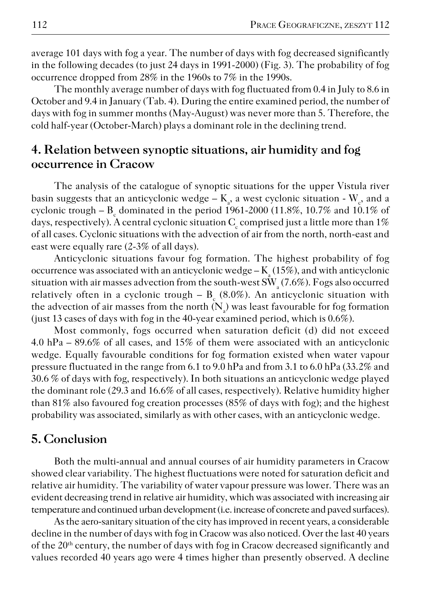average 101 days with fog a year. The number of days with fog decreased significantly in the following decades (to just 24 days in 1991−2000) (Fig. 3). The probability of fog occurrence dropped from 28% in the 1960s to 7% in the 1990s.

The monthly average number of days with fog fluctuated from 0.4 in July to 8.6 in October and 9.4 in January (Tab. 4). During the entire examined period, the number of days with fog in summer months (May−August) was never more than 5. Therefore, the cold half−year (October−March) plays a dominant role in the declining trend.

# **4. Relation between synoptic situations, air humidity and fog occurrence in Cracow**

The analysis of the catalogue of synoptic situations for the upper Vistula river basin suggests that an anticyclonic wedge –  $K_a$ , a west cyclonic situation -  $W_c$ , and a cyclonic trough –  $\text{B}_\text{c}$  dominated in the period 1961-2000 (11.8%, 10.7% and 10.1% of days, respectively). A central cyclonic situation  $\mathrm{C}_\mathrm{c}$  comprised just a little more than 1% of all cases. Cyclonic situations with the advection of air from the north, north−east and east were equally rare (2−3% of all days).

Anticyclonic situations favour fog formation. The highest probability of fog occurrence was associated with an anticyclonic wedge –  $\mathrm{K}_\mathrm{a}$  (15%), and with anticyclonic situation with air masses advection from the south-west  $\mathrm{SW}_\mathrm{a}(7.6\%)$ . Fogs also occurred relatively often in a cyclonic trough –  $B_c (8.0\%)$ . An anticyclonic situation with the advection of air masses from the north ( $N_a$ ) was least favourable for fog formation (just 13 cases of days with fog in the 40−year examined period, which is 0.6%).

Most commonly, fogs occurred when saturation deficit (d) did not exceed 4.0 hPa – 89.6% of all cases, and 15% of them were associated with an anticyclonic wedge. Equally favourable conditions for fog formation existed when water vapour pressure fluctuated in the range from 6.1 to 9.0 hPa and from 3.1 to 6.0 hPa (33.2% and 30.6 % of days with fog, respectively). In both situations an anticyclonic wedge played the dominant role (29.3 and 16.6% of all cases, respectively). Relative humidity higher than 81% also favoured fog creation processes (85% of days with fog); and the highest probability was associated, similarly as with other cases, with an anticyclonic wedge.

#### **5. Conclusion**

Both the multi−annual and annual courses of air humidity parameters in Cracow showed clear variability. The highest fluctuations were noted for saturation deficit and relative air humidity. The variability of water vapour pressure was lower. There was an evident decreasing trend in relative air humidity, which was associated with increasing air temperature and continued urban development (i.e. increase of concrete and paved surfaces).

As the aero−sanitary situation of the city has improved in recent years, a considerable decline in the number of days with fog in Cracow was also noticed. Over the last 40 years of the 20<sup>th</sup> century, the number of days with fog in Cracow decreased significantly and values recorded 40 years ago were 4 times higher than presently observed. A decline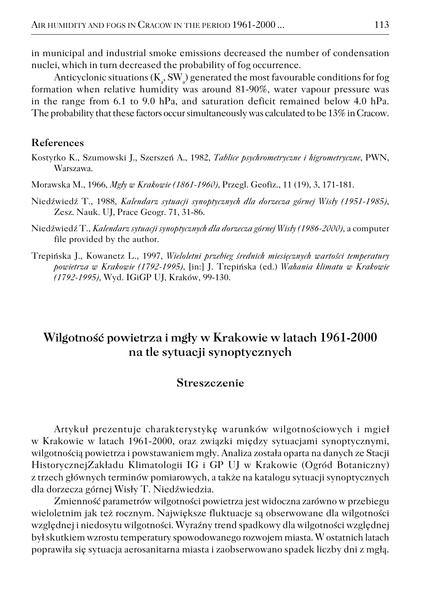in municipal and industrial smoke emissions decreased the number of condensation nuclei, which in turn decreased the probability of fog occurrence.

Anticyclonic situations ( $K_a$ , SW $_a$ ) generated the most favourable conditions for fog formation when relative humidity was around 81−90%, water vapour pressure was in the range from 6.1 to 9.0 hPa, and saturation deficit remained below 4.0 hPa. The probability that these factors occur simultaneously was calculated to be 13% in Cracow.

#### **References**

- Kostyrko K., Szumowski J., Szerszeń A., 1982, *Tablice psychrometryczne i higrometryczne*, PWN, Warszawa.
- Morawska M., 1966, *Mgły w Krakowie (1861−1960)*, Przegl. Geofiz., 11 (19), 3, 171−181.
- Niedźwiedź T., 1988, *Kalendarz sytuacji synoptycznych dla dorzecza górnej Wisły (1951−1985)*, Zesz. Nauk. UJ, Prace Geogr. 71, 31−86.
- Niedźwiedź T., *Kalendarz sytuacji synoptycznych dla dorzecza górnej Wisły (1986−2000),* a computer file provided by the author.
- Trepińska J., Kowanetz L., 1997, *Wieloletni przebieg średnich miesięcznych wartości temperatury powietrza w Krakowie (1792−1995)*, [in:] J. Trepińska (ed.) *Wahania klimatu w Krakowie (1792−1995),* Wyd. IGiGP UJ, Kraków, 99−130.

# **Wilgotność powietrza i mgły w Krakowie w latach 1961−2000 na tle sytuacji synoptycznych**

#### **Streszczenie**

Artykuł prezentuje charakterystykę warunków wilgotnościowych i mgieł w Krakowie w latach 1961−2000, oraz związki między sytuacjami synoptycznymi, wilgotnością powietrza i powstawaniem mgły. Analiza została oparta na danych ze Stacji HistorycznejZakładu Klimatologii IG i GP UJ w Krakowie (Ogród Botaniczny) z trzech głównych terminów pomiarowych, a także na katalogu sytuacji synoptycznych dla dorzecza górnej Wisły T. Niedźwiedzia.

Zmienność parametrów wilgotności powietrza jest widoczna zarówno w przebiegu wieloletnim jak też rocznym. Największe fluktuacje są obserwowane dla wilgotności względnej i niedosytu wilgotności. Wyraźny trend spadkowy dla wilgotności względnej był skutkiem wzrostu temperatury spowodowanego rozwojem miasta. W ostatnich latach poprawiła się sytuacja aerosanitarna miasta i zaobserwowano spadek liczby dni z mgłą.